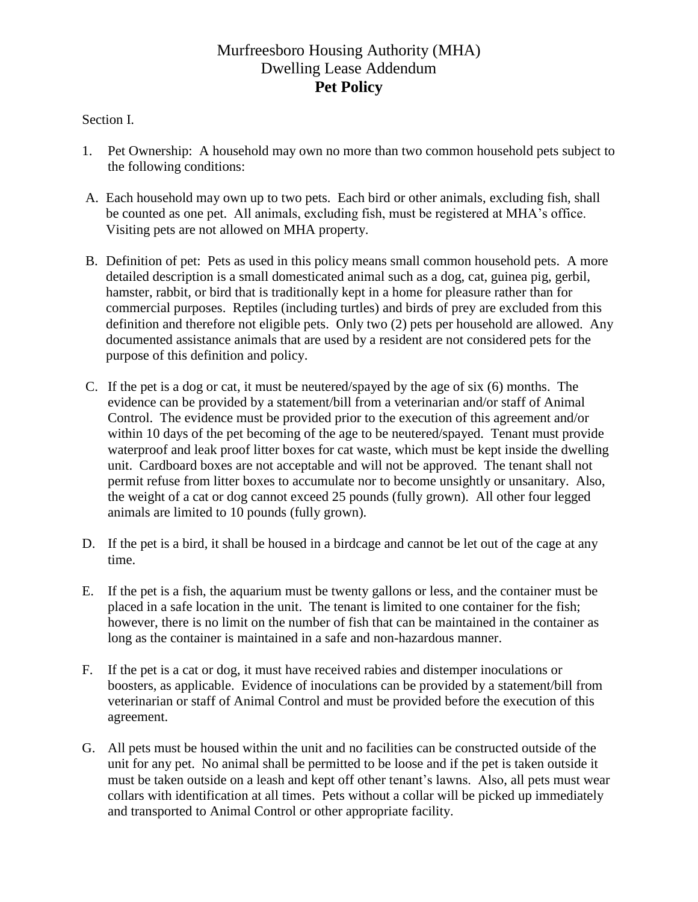# Murfreesboro Housing Authority (MHA) Dwelling Lease Addendum **Pet Policy**

## Section I.

- 1. Pet Ownership: A household may own no more than two common household pets subject to the following conditions:
- A. Each household may own up to two pets. Each bird or other animals, excluding fish, shall be counted as one pet. All animals, excluding fish, must be registered at MHA's office. Visiting pets are not allowed on MHA property.
- B. Definition of pet: Pets as used in this policy means small common household pets. A more detailed description is a small domesticated animal such as a dog, cat, guinea pig, gerbil, hamster, rabbit, or bird that is traditionally kept in a home for pleasure rather than for commercial purposes. Reptiles (including turtles) and birds of prey are excluded from this definition and therefore not eligible pets. Only two (2) pets per household are allowed. Any documented assistance animals that are used by a resident are not considered pets for the purpose of this definition and policy.
- C. If the pet is a dog or cat, it must be neutered/spayed by the age of six (6) months. The evidence can be provided by a statement/bill from a veterinarian and/or staff of Animal Control. The evidence must be provided prior to the execution of this agreement and/or within 10 days of the pet becoming of the age to be neutered/spayed. Tenant must provide waterproof and leak proof litter boxes for cat waste, which must be kept inside the dwelling unit. Cardboard boxes are not acceptable and will not be approved. The tenant shall not permit refuse from litter boxes to accumulate nor to become unsightly or unsanitary. Also, the weight of a cat or dog cannot exceed 25 pounds (fully grown). All other four legged animals are limited to 10 pounds (fully grown).
- D. If the pet is a bird, it shall be housed in a birdcage and cannot be let out of the cage at any time.
- E. If the pet is a fish, the aquarium must be twenty gallons or less, and the container must be placed in a safe location in the unit. The tenant is limited to one container for the fish; however, there is no limit on the number of fish that can be maintained in the container as long as the container is maintained in a safe and non-hazardous manner.
- F. If the pet is a cat or dog, it must have received rabies and distemper inoculations or boosters, as applicable. Evidence of inoculations can be provided by a statement/bill from veterinarian or staff of Animal Control and must be provided before the execution of this agreement.
- G. All pets must be housed within the unit and no facilities can be constructed outside of the unit for any pet. No animal shall be permitted to be loose and if the pet is taken outside it must be taken outside on a leash and kept off other tenant's lawns. Also, all pets must wear collars with identification at all times. Pets without a collar will be picked up immediately and transported to Animal Control or other appropriate facility.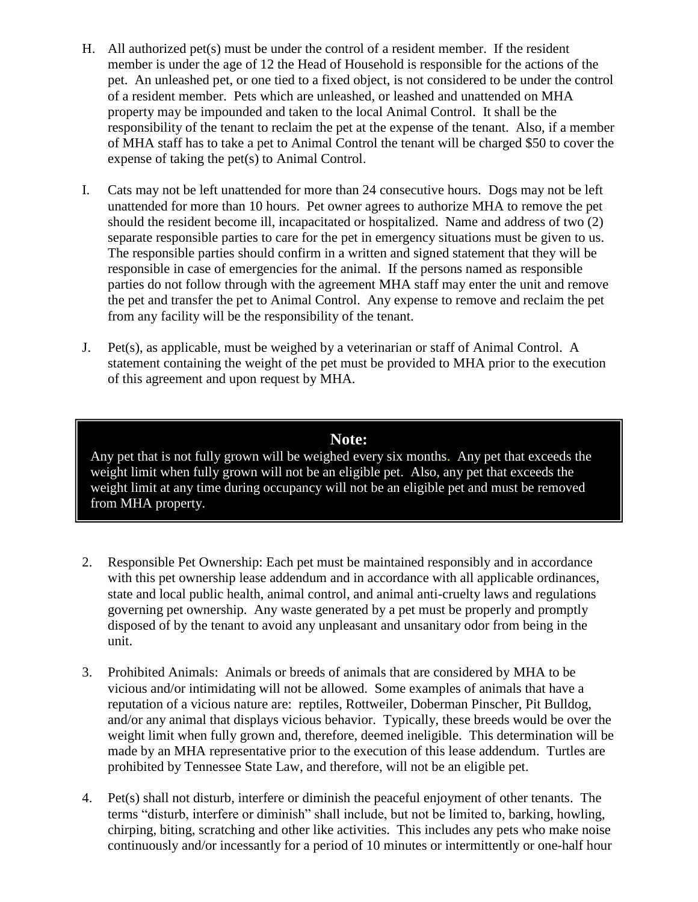- H. All authorized pet(s) must be under the control of a resident member. If the resident member is under the age of 12 the Head of Household is responsible for the actions of the pet. An unleashed pet, or one tied to a fixed object, is not considered to be under the control of a resident member. Pets which are unleashed, or leashed and unattended on MHA property may be impounded and taken to the local Animal Control. It shall be the responsibility of the tenant to reclaim the pet at the expense of the tenant. Also, if a member of MHA staff has to take a pet to Animal Control the tenant will be charged \$50 to cover the expense of taking the pet(s) to Animal Control.
- I. Cats may not be left unattended for more than 24 consecutive hours. Dogs may not be left unattended for more than 10 hours. Pet owner agrees to authorize MHA to remove the pet should the resident become ill, incapacitated or hospitalized. Name and address of two (2) separate responsible parties to care for the pet in emergency situations must be given to us. The responsible parties should confirm in a written and signed statement that they will be responsible in case of emergencies for the animal. If the persons named as responsible parties do not follow through with the agreement MHA staff may enter the unit and remove the pet and transfer the pet to Animal Control. Any expense to remove and reclaim the pet from any facility will be the responsibility of the tenant.
- J. Pet(s), as applicable, must be weighed by a veterinarian or staff of Animal Control. A statement containing the weight of the pet must be provided to MHA prior to the execution of this agreement and upon request by MHA.

# **Note:**

Any pet that is not fully grown will be weighed every six months. Any pet that exceeds the weight limit when fully grown will not be an eligible pet. Also, any pet that exceeds the weight limit at any time during occupancy will not be an eligible pet and must be removed from MHA property.

- 2. Responsible Pet Ownership: Each pet must be maintained responsibly and in accordance with this pet ownership lease addendum and in accordance with all applicable ordinances, state and local public health, animal control, and animal anti-cruelty laws and regulations governing pet ownership. Any waste generated by a pet must be properly and promptly disposed of by the tenant to avoid any unpleasant and unsanitary odor from being in the unit.
- 3. Prohibited Animals: Animals or breeds of animals that are considered by MHA to be vicious and/or intimidating will not be allowed. Some examples of animals that have a reputation of a vicious nature are: reptiles, Rottweiler, Doberman Pinscher, Pit Bulldog, and/or any animal that displays vicious behavior. Typically, these breeds would be over the weight limit when fully grown and, therefore, deemed ineligible. This determination will be made by an MHA representative prior to the execution of this lease addendum. Turtles are prohibited by Tennessee State Law, and therefore, will not be an eligible pet.
- 4. Pet(s) shall not disturb, interfere or diminish the peaceful enjoyment of other tenants. The terms "disturb, interfere or diminish" shall include, but not be limited to, barking, howling, chirping, biting, scratching and other like activities. This includes any pets who make noise continuously and/or incessantly for a period of 10 minutes or intermittently or one-half hour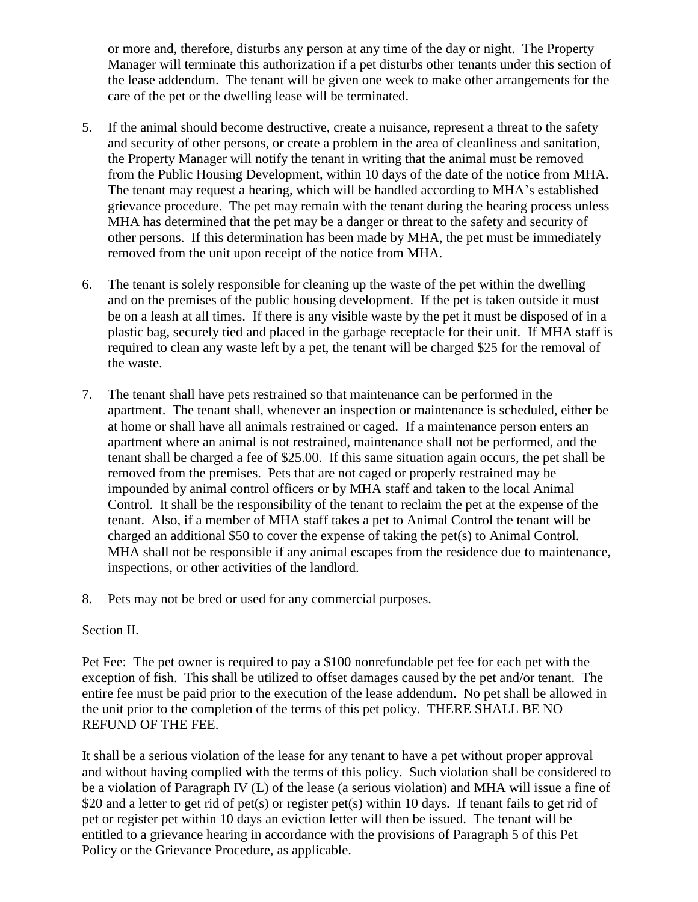or more and, therefore, disturbs any person at any time of the day or night. The Property Manager will terminate this authorization if a pet disturbs other tenants under this section of the lease addendum. The tenant will be given one week to make other arrangements for the care of the pet or the dwelling lease will be terminated.

- 5. If the animal should become destructive, create a nuisance, represent a threat to the safety and security of other persons, or create a problem in the area of cleanliness and sanitation, the Property Manager will notify the tenant in writing that the animal must be removed from the Public Housing Development, within 10 days of the date of the notice from MHA. The tenant may request a hearing, which will be handled according to MHA's established grievance procedure. The pet may remain with the tenant during the hearing process unless MHA has determined that the pet may be a danger or threat to the safety and security of other persons. If this determination has been made by MHA, the pet must be immediately removed from the unit upon receipt of the notice from MHA.
- 6. The tenant is solely responsible for cleaning up the waste of the pet within the dwelling and on the premises of the public housing development. If the pet is taken outside it must be on a leash at all times. If there is any visible waste by the pet it must be disposed of in a plastic bag, securely tied and placed in the garbage receptacle for their unit. If MHA staff is required to clean any waste left by a pet, the tenant will be charged \$25 for the removal of the waste.
- 7. The tenant shall have pets restrained so that maintenance can be performed in the apartment. The tenant shall, whenever an inspection or maintenance is scheduled, either be at home or shall have all animals restrained or caged. If a maintenance person enters an apartment where an animal is not restrained, maintenance shall not be performed, and the tenant shall be charged a fee of \$25.00. If this same situation again occurs, the pet shall be removed from the premises. Pets that are not caged or properly restrained may be impounded by animal control officers or by MHA staff and taken to the local Animal Control. It shall be the responsibility of the tenant to reclaim the pet at the expense of the tenant. Also, if a member of MHA staff takes a pet to Animal Control the tenant will be charged an additional \$50 to cover the expense of taking the pet(s) to Animal Control. MHA shall not be responsible if any animal escapes from the residence due to maintenance, inspections, or other activities of the landlord.
- 8. Pets may not be bred or used for any commercial purposes.

#### Section II.

Pet Fee: The pet owner is required to pay a \$100 nonrefundable pet fee for each pet with the exception of fish. This shall be utilized to offset damages caused by the pet and/or tenant. The entire fee must be paid prior to the execution of the lease addendum. No pet shall be allowed in the unit prior to the completion of the terms of this pet policy. THERE SHALL BE NO REFUND OF THE FEE.

It shall be a serious violation of the lease for any tenant to have a pet without proper approval and without having complied with the terms of this policy. Such violation shall be considered to be a violation of Paragraph IV (L) of the lease (a serious violation) and MHA will issue a fine of \$20 and a letter to get rid of pet(s) or register pet(s) within 10 days. If tenant fails to get rid of pet or register pet within 10 days an eviction letter will then be issued. The tenant will be entitled to a grievance hearing in accordance with the provisions of Paragraph 5 of this Pet Policy or the Grievance Procedure, as applicable.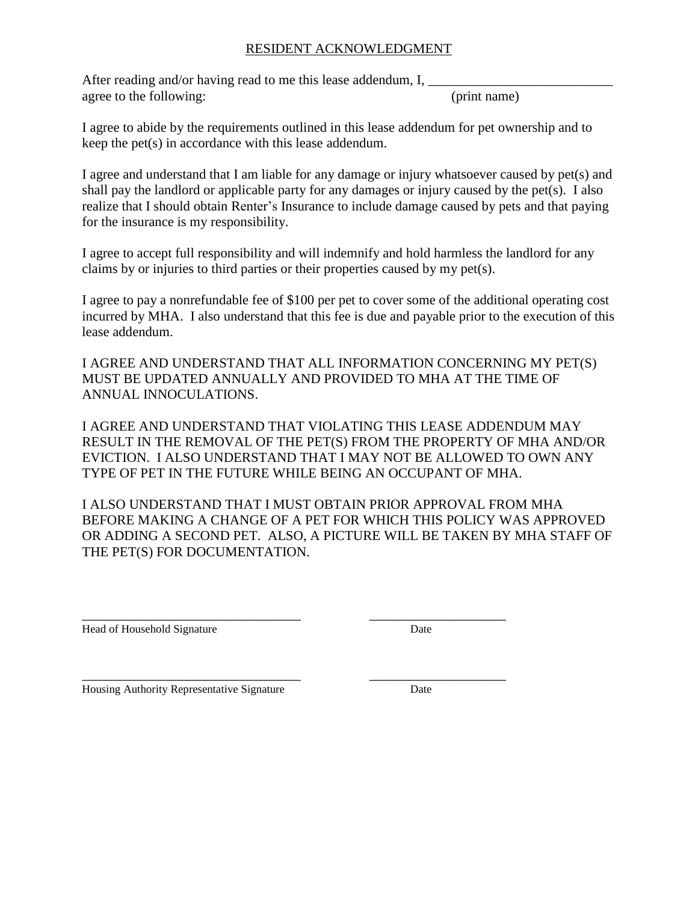## RESIDENT ACKNOWLEDGMENT

After reading and/or having read to me this lease addendum, I, agree to the following: (print name)

I agree to abide by the requirements outlined in this lease addendum for pet ownership and to keep the pet(s) in accordance with this lease addendum.

I agree and understand that I am liable for any damage or injury whatsoever caused by pet(s) and shall pay the landlord or applicable party for any damages or injury caused by the pet(s). I also realize that I should obtain Renter's Insurance to include damage caused by pets and that paying for the insurance is my responsibility.

I agree to accept full responsibility and will indemnify and hold harmless the landlord for any claims by or injuries to third parties or their properties caused by my pet(s).

I agree to pay a nonrefundable fee of \$100 per pet to cover some of the additional operating cost incurred by MHA. I also understand that this fee is due and payable prior to the execution of this lease addendum.

I AGREE AND UNDERSTAND THAT ALL INFORMATION CONCERNING MY PET(S) MUST BE UPDATED ANNUALLY AND PROVIDED TO MHA AT THE TIME OF ANNUAL INNOCULATIONS.

I AGREE AND UNDERSTAND THAT VIOLATING THIS LEASE ADDENDUM MAY RESULT IN THE REMOVAL OF THE PET(S) FROM THE PROPERTY OF MHA AND/OR EVICTION. I ALSO UNDERSTAND THAT I MAY NOT BE ALLOWED TO OWN ANY TYPE OF PET IN THE FUTURE WHILE BEING AN OCCUPANT OF MHA.

I ALSO UNDERSTAND THAT I MUST OBTAIN PRIOR APPROVAL FROM MHA BEFORE MAKING A CHANGE OF A PET FOR WHICH THIS POLICY WAS APPROVED OR ADDING A SECOND PET. ALSO, A PICTURE WILL BE TAKEN BY MHA STAFF OF THE PET(S) FOR DOCUMENTATION.

\_\_\_\_\_\_\_\_\_\_\_\_\_\_\_\_\_\_\_\_\_\_\_\_\_\_\_\_\_\_\_\_ \_\_\_\_\_\_\_\_\_\_\_\_\_\_\_\_\_\_\_\_

\_\_\_\_\_\_\_\_\_\_\_\_\_\_\_\_\_\_\_\_\_\_\_\_\_\_\_\_\_\_\_\_ \_\_\_\_\_\_\_\_\_\_\_\_\_\_\_\_\_\_\_\_ Head of Household Signature Date

Housing Authority Representative Signature Date